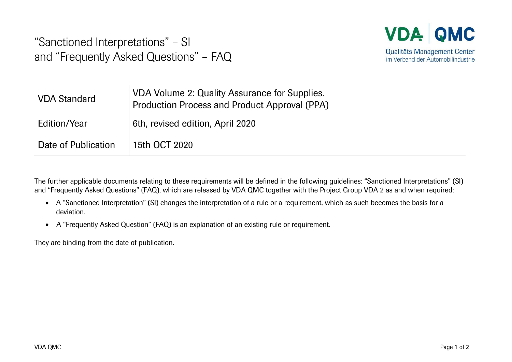"Sanctioned Interpretations" – SI and "Frequently Asked Questions" – FAQ



| <b>VDA Standard</b> | VDA Volume 2: Quality Assurance for Supplies.<br>Production Process and Product Approval (PPA) |
|---------------------|------------------------------------------------------------------------------------------------|
| Edition/Year        | 6th, revised edition, April 2020                                                               |
| Date of Publication | 15th OCT 2020                                                                                  |

The further applicable documents relating to these requirements will be defined in the following guidelines: "Sanctioned Interpretations" (SI) and "Frequently Asked Questions" (FAQ), which are released by VDA QMC together with the Project Group VDA 2 as and when required:

- A "Sanctioned Interpretation" (SI) changes the interpretation of a rule or a requirement, which as such becomes the basis for a deviation.
- A "Frequently Asked Question" (FAQ) is an explanation of an existing rule or requirement.

They are binding from the date of publication.